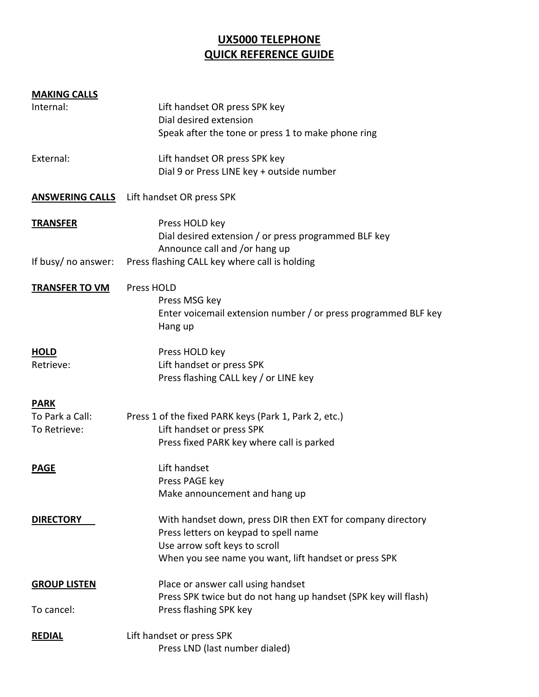# **UX5000 TELEPHONE QUICK REFERENCE GUIDE**

#### **MAKING CALLS**

| ישוריו ייש שיוויריויו |                                                                           |
|-----------------------|---------------------------------------------------------------------------|
| Internal:             | Lift handset OR press SPK key                                             |
|                       | Dial desired extension                                                    |
|                       | Speak after the tone or press 1 to make phone ring                        |
| External:             | Lift handset OR press SPK key                                             |
|                       | Dial 9 or Press LINE key + outside number                                 |
|                       | <b>ANSWERING CALLS</b> Lift handset OR press SPK                          |
| <b>TRANSFER</b>       | Press HOLD key                                                            |
|                       | Dial desired extension / or press programmed BLF key                      |
|                       | Announce call and /or hang up                                             |
| If busy/ no answer:   | Press flashing CALL key where call is holding                             |
| <b>TRANSFER TO VM</b> | Press HOLD                                                                |
|                       | Press MSG key                                                             |
|                       | Enter voicemail extension number / or press programmed BLF key<br>Hang up |
|                       |                                                                           |
| <b>HOLD</b>           | Press HOLD key                                                            |
| Retrieve:             | Lift handset or press SPK                                                 |
|                       | Press flashing CALL key / or LINE key                                     |
| <b>PARK</b>           |                                                                           |
| To Park a Call:       | Press 1 of the fixed PARK keys (Park 1, Park 2, etc.)                     |
| To Retrieve:          | Lift handset or press SPK                                                 |
|                       | Press fixed PARK key where call is parked                                 |
| <b>PAGE</b>           | Lift handset                                                              |
|                       | Press PAGE key                                                            |
|                       | Make announcement and hang up                                             |
| <b>DIRECTORY</b>      | With handset down, press DIR then EXT for company directory               |
|                       | Press letters on keypad to spell name                                     |
|                       | Use arrow soft keys to scroll                                             |
|                       | When you see name you want, lift handset or press SPK                     |
| <b>GROUP LISTEN</b>   | Place or answer call using handset                                        |
|                       | Press SPK twice but do not hang up handset (SPK key will flash)           |
| To cancel:            | Press flashing SPK key                                                    |
| <b>REDIAL</b>         | Lift handset or press SPK                                                 |
|                       | Press LND (last number dialed)                                            |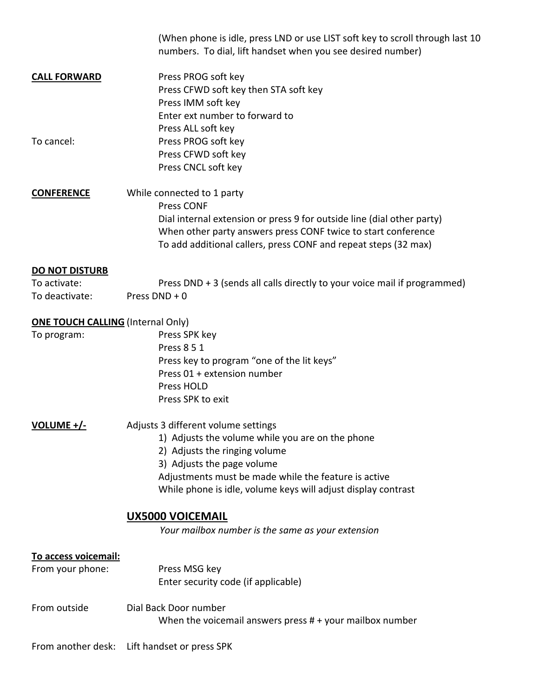|                                          | (When phone is idle, press LND or use LIST soft key to scroll through last 10<br>numbers. To dial, lift handset when you see desired number)                                                                                                                                    |  |
|------------------------------------------|---------------------------------------------------------------------------------------------------------------------------------------------------------------------------------------------------------------------------------------------------------------------------------|--|
| <b>CALL FORWARD</b>                      | Press PROG soft key<br>Press CFWD soft key then STA soft key<br>Press IMM soft key<br>Enter ext number to forward to                                                                                                                                                            |  |
| To cancel:                               | Press ALL soft key<br>Press PROG soft key<br>Press CFWD soft key<br>Press CNCL soft key                                                                                                                                                                                         |  |
| <b>CONFERENCE</b>                        | While connected to 1 party<br>Press CONF<br>Dial internal extension or press 9 for outside line (dial other party)<br>When other party answers press CONF twice to start conference<br>To add additional callers, press CONF and repeat steps (32 max)                          |  |
| <b>DO NOT DISTURB</b>                    |                                                                                                                                                                                                                                                                                 |  |
| To activate:                             | Press DND + 3 (sends all calls directly to your voice mail if programmed)                                                                                                                                                                                                       |  |
| To deactivate:                           | Press $DND + 0$                                                                                                                                                                                                                                                                 |  |
| <b>ONE TOUCH CALLING (Internal Only)</b> |                                                                                                                                                                                                                                                                                 |  |
| To program:                              | Press SPK key<br>Press 8 5 1<br>Press key to program "one of the lit keys"<br>Press 01 + extension number<br>Press HOLD<br>Press SPK to exit                                                                                                                                    |  |
| <u> VOLUME +/-</u>                       | Adjusts 3 different volume settings<br>1) Adjusts the volume while you are on the phone<br>2) Adjusts the ringing volume<br>3) Adjusts the page volume<br>Adjustments must be made while the feature is active<br>While phone is idle, volume keys will adjust display contrast |  |
|                                          | <b>UX5000 VOICEMAIL</b><br>Your mailbox number is the same as your extension                                                                                                                                                                                                    |  |
| To access voicemail:<br>From your phone: | Press MSG key<br>Enter security code (if applicable)                                                                                                                                                                                                                            |  |
| From outside                             | Dial Back Door number<br>When the voicemail answers press $# +$ your mailbox number                                                                                                                                                                                             |  |
| From another desk:                       | Lift handset or press SPK                                                                                                                                                                                                                                                       |  |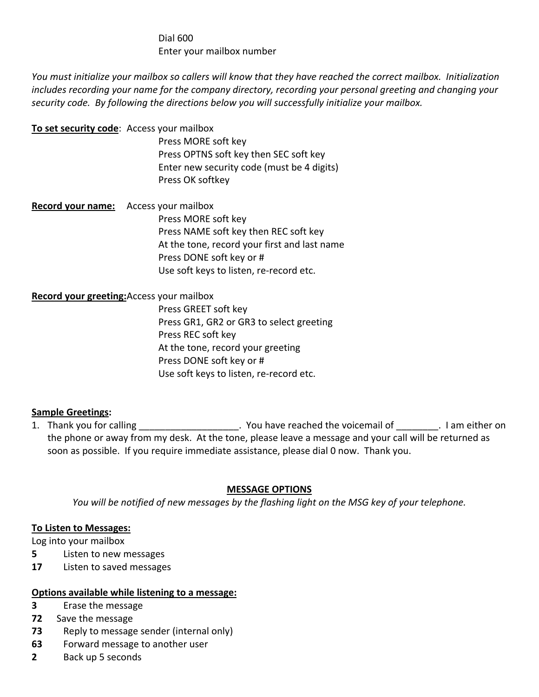# Dial 600 Enter your mailbox number

You must initialize your mailbox so callers will know that they have reached the correct mailbox. Initialization *includes recording your name for the company directory, recording your personal greeting and changing your security code. By following the directions below you will successfully initialize your mailbox.* 

| To set security code: Access your mailbox    | Press MORE soft key<br>Press OPTNS soft key then SEC soft key<br>Enter new security code (must be 4 digits)<br>Press OK softkey                                                     |
|----------------------------------------------|-------------------------------------------------------------------------------------------------------------------------------------------------------------------------------------|
| <b>Record your name:</b> Access your mailbox | Press MORE soft key<br>Press NAME soft key then REC soft key<br>At the tone, record your first and last name<br>Press DONE soft key or #<br>Use soft keys to listen, re-record etc. |

#### **Record your greeting:**Access your mailbox

 Press GREET soft key Press GR1, GR2 or GR3 to select greeting Press REC soft key At the tone, record your greeting Press DONE soft key or # Use soft keys to listen, re‐record etc.

### **Sample Greetings:**

1. Thank you for calling the summary contract the voicemail of the voicemail of the voicemail of the summary contract on the voicemail of the voicemail of the voicemail of the voicemail of the voicemail of the voicemail of the phone or away from my desk. At the tone, please leave a message and your call will be returned as soon as possible. If you require immediate assistance, please dial 0 now. Thank you.

### **MESSAGE OPTIONS**

*You will be notified of new messages by the flashing light on the MSG key of your telephone.*

#### **To Listen to Messages:**

Log into your mailbox

- **5** Listen to new messages
- **17** Listen to saved messages

#### **Options available while listening to a message:**

- **3** Erase the message
- **72** Save the message
- **73** Reply to message sender (internal only)
- **63** Forward message to another user
- **2** Back up 5 seconds